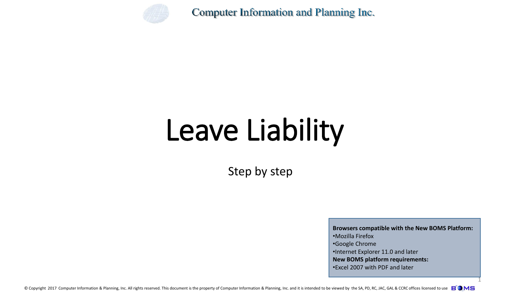

# Leave Liability

Step by step

**Browsers compatible with the New BOMS Platform:** •Mozilla Firefox •Google Chrome •Internet Explorer 11.0 and later **New BOMS platform requirements:** •Excel 2007 with PDF and later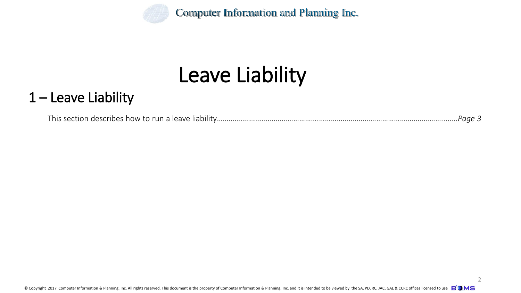

## Leave Liability

### 1 – Leave Liability

This section describes how to run a leave liability…………………………………………….………………..……………………………………...…..*Page 3*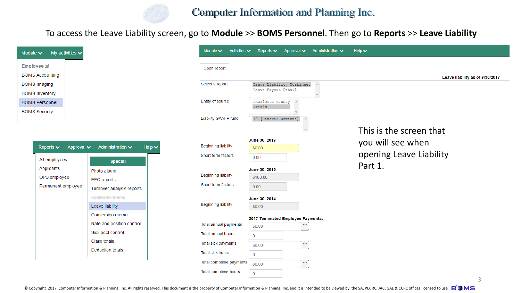

To access the Leave Liability screen, go to **Module** >> **BOMS Personnel**. Then go to **Reports** >> **Leave Liability**

| Module $\vee$          | My activities $\blacktriangleright$ |
|------------------------|-------------------------------------|
| Employee $\mathscr G$  |                                     |
| <b>BOMS Accounting</b> |                                     |
| <b>BOMS</b> Imaging    |                                     |
| <b>BOMS Inventory</b>  |                                     |
| <b>BOMS Personnel</b>  |                                     |
| <b>BOMS Security</b>   |                                     |

| Reports $\vee$ Approval $\vee$ Administration $\vee$ | Help $\vee$               |
|------------------------------------------------------|---------------------------|
| All employees                                        | <b>Special</b>            |
| Applicants                                           | Photo album               |
| OPS employee<br>Permanent employee                   | <b>EEO</b> reports        |
|                                                      | Turnover analysis reports |
|                                                      | Applicants memo           |
|                                                      | Leave liability           |
|                                                      | Conversion memo           |
|                                                      | Rate and position control |
|                                                      | Sick pool control         |
|                                                      | Class totals              |
|                                                      | <b>Deduction totals</b>   |

| Module $\blacktriangleright$<br>Activities $\blacktriangleright$ | Reports $\blacktriangleright$<br>Approval v      | Administration $\blacktriangleright$ | Help $\vee$                     |
|------------------------------------------------------------------|--------------------------------------------------|--------------------------------------|---------------------------------|
| Open report                                                      |                                                  |                                      |                                 |
|                                                                  |                                                  |                                      | Leave liability as of 6/30/2017 |
| Select a report                                                  | Leave Liability Worksheet<br>Leave Payout Detail | $\Delta$                             |                                 |
| Entity of source                                                 | Charlotte County<br>$\Delta$<br>Trials           |                                      |                                 |
| Liability GAAFR fund                                             | 10 [General Revenue]                             |                                      |                                 |
|                                                                  |                                                  |                                      | This is the screen that         |
|                                                                  | June 30, 2016                                    |                                      | you will see when               |
| <b>Beginning liability</b>                                       | \$0.00                                           |                                      |                                 |
| Short term factors                                               | 0.00                                             |                                      | opening Leave Liability         |
|                                                                  | June 30, 2015                                    |                                      | Part 1.                         |
| <b>Beginning liability</b>                                       | \$100.00                                         |                                      |                                 |
| Short term factors                                               | 0.00                                             |                                      |                                 |
|                                                                  | June 30, 2014                                    |                                      |                                 |
| <b>Beginning liability</b>                                       | \$0.00                                           |                                      |                                 |
|                                                                  | 2017 Terminated Employee Payments:               |                                      |                                 |
| Total annual payments                                            | <br>\$0.00                                       |                                      |                                 |
| <b>Total annual hours</b>                                        | $\mathbf 0$                                      |                                      |                                 |
| Total sick payments                                              | $\cdots$<br>\$0.00                               |                                      |                                 |
| <b>Total sick hours</b>                                          | 0                                                |                                      |                                 |
| Total comptime payments                                          | <br>\$0.00                                       |                                      |                                 |
| Total comptime hours                                             | $\mathbf{0}$                                     |                                      |                                 |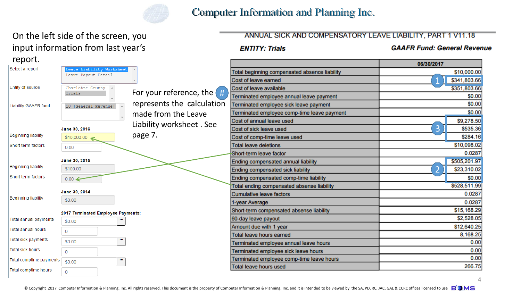

#### On the left side of the screen, you input information from last year's report

#### ANNUAL SICK AND COMPENSATORY LEAVE LIABILITY, PART 1 V11.18

#### **ENTITY: Trials**

**GAAFR Fund: General Revenue** 

 $\Delta$ 

| $i$ cpoit.                  |                                                 |                              |                                               | 06/30/2017     |              |
|-----------------------------|-------------------------------------------------|------------------------------|-----------------------------------------------|----------------|--------------|
| Select a report             | eave Liability Worksheet<br>Leave Payout Detail |                              | Total beginning compensated absence liability |                | \$10,000.00  |
|                             |                                                 |                              | Cost of leave earned                          |                | \$341,803.66 |
| Entity of source            | Charlotte County 4                              |                              | Cost of leave available                       |                | \$351,803.66 |
|                             | Trials                                          | For your reference, the $\#$ | Terminated employee annual leave payment      |                | \$0.00       |
| <b>Liability GAAFR fund</b> | 10 [General Revenue]                            | represents the calculation   | Terminated employee sick leave payment        |                | \$0.00       |
|                             |                                                 | made from the Leave          | Terminated employee comp-time leave payment   |                | \$0.00       |
|                             |                                                 | Liability worksheet. See     | Cost of annual leave used                     |                | \$9,278.50   |
|                             | June 30, 2016                                   |                              | Cost of sick leave used                       | 3              | \$535.36     |
| <b>Beginning liability</b>  | \$10,000.00                                     | page 7.                      | Cost of comp-time leave used                  |                | \$284.16     |
| Short term factors          | 0.00                                            |                              | <b>Total leave deletions</b>                  |                | \$10,098.02  |
|                             |                                                 |                              | Short-term leave factor                       |                | 0.0287       |
|                             | June 30, 2015                                   |                              | Ending compensated annual liability           |                | \$505,201.97 |
| <b>Beginning liability</b>  | \$100.00                                        |                              | Ending compensated sick liability             | $\overline{2}$ | \$23,310.02  |
| Short term factors          | $0.00 \leftarrow$                               |                              | Ending compensated comp-time liability        |                | \$0.00       |
|                             |                                                 |                              | Total ending compensated absense liability    |                | \$528,511.99 |
| <b>Beginning liability</b>  | June 30, 2014                                   |                              | Cumulative leave factors                      |                | 0.0287       |
|                             | \$0.00                                          |                              | 1-year Average                                |                | 0.0287       |
|                             | 2017 Terminated Employee Payments:              |                              | Short-term compensated absense liability      |                | \$15,168.29  |
| Total annual payments       | <br>\$0.00                                      |                              | 60-day leave payout                           |                | \$2,528.05   |
| <b>Total annual hours</b>   | $\overline{0}$                                  |                              | Amount due with 1 year                        |                | \$12,640.25  |
|                             |                                                 |                              | <b>Total leave hours earned</b>               |                | 8,168.25     |
| Total sick payments         | $\cdots$<br>\$0.00                              |                              | Terminated employee annual leave hours        |                | 0.00         |
| <b>Total sick hours</b>     | $\Omega$                                        |                              | Terminated employee sick leave hours          |                | 0.00         |
| Total comptime payments     | ш<br>\$0.00                                     |                              | Terminated employee comp-time leave hours     |                | 0.00         |
| Total comptime hours        |                                                 |                              | <b>Total leave hours used</b>                 |                | 266.75       |
|                             | $\mathbf 0$                                     |                              |                                               |                |              |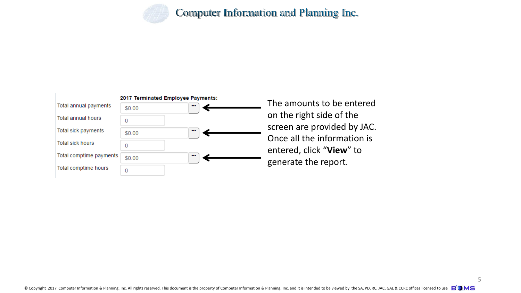



The amounts to be entered on the right side of the screen are provided by JAC. Once all the information is entered, click "**View**" to generate the report.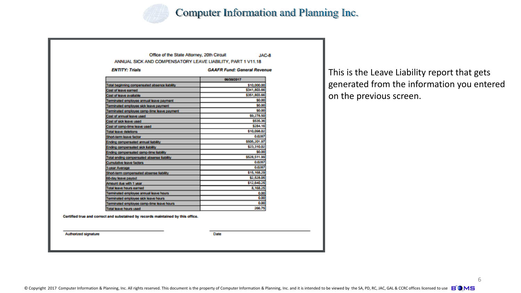

|                                               | ANNUAL SICK AND COMPENSATORY LEAVE LIABILITY, PART 1 V11.18 |  |  |
|-----------------------------------------------|-------------------------------------------------------------|--|--|
| <b>ENTITY: Trisls</b>                         | <b>GAAFR Fund: General Revenue</b>                          |  |  |
|                                               | 06/30/2017                                                  |  |  |
| Total beginning compensated absence liability | \$10,000.00                                                 |  |  |
| Cost of leave earned                          | \$341,803.66                                                |  |  |
| Cost of leave available                       | \$351,803.66                                                |  |  |
| Terminated employee annual leave payment      | \$0.00                                                      |  |  |
| Terminated employee sick leave payment        | \$0.00                                                      |  |  |
| Terminated employee comp-time leave payment   | \$0.00                                                      |  |  |
| Cost of annual leave used                     | \$9,278.50                                                  |  |  |
| Cost of sick leave used                       | \$535.36                                                    |  |  |
| Cost of comp-time leave used                  | \$284.16                                                    |  |  |
| <b>Total leave deletions</b>                  | \$10,098.02                                                 |  |  |
| Short-term leave factor                       | 0.0287                                                      |  |  |
| Ending compensated annual liability           | \$505,201.97                                                |  |  |
| Ending compensated sick liability             | \$23,310.02                                                 |  |  |
| Ending compensated comp-time liability        | \$0.00                                                      |  |  |
| Total ending compensated absense liability    | \$528,511.99                                                |  |  |
| <b>Cumulative leave factors</b>               | 0.0287                                                      |  |  |
| 1-year Average                                | 0.0287                                                      |  |  |
| Short-term compensated absense liability      | \$15,168.29                                                 |  |  |
| 60-day leave payout                           | \$2,528.05                                                  |  |  |
| Amount due with 1 year                        | \$12,640.25                                                 |  |  |
| <b>Total leave hours earned</b>               | 8,168.25                                                    |  |  |
| Terminated employee annual leave hours        | 0.00                                                        |  |  |
| Terminated employee sick leave hours          | 0.00                                                        |  |  |
| Terminated employee comp-time leave hours     | 0.00                                                        |  |  |
| Total leave hours used                        | 266.75                                                      |  |  |

Authorized signature

Date

This is the Leave Liability report that gets generated from the information you entered on the previous screen.